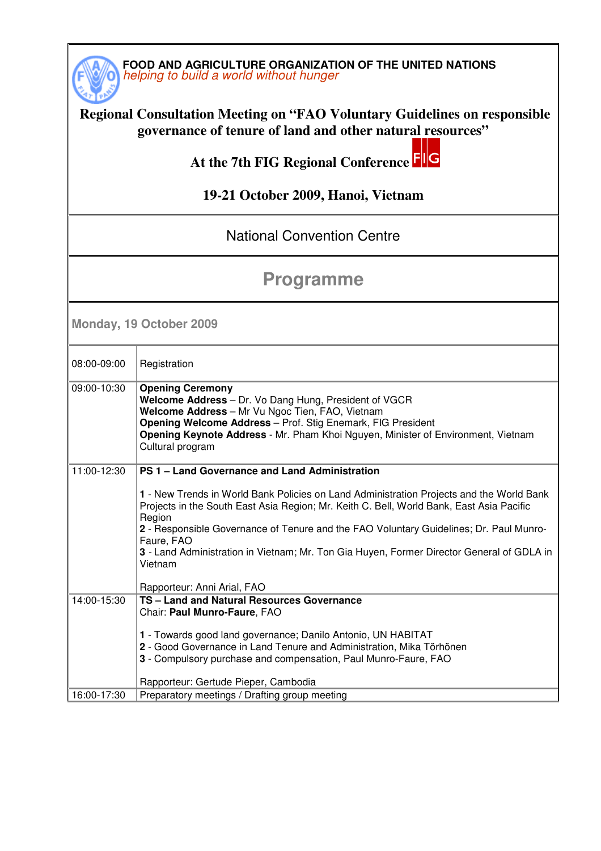

#### **Regional Consultation Meeting on "FAO Voluntary Guidelines on responsible governance of tenure of land and other natural resources"**

 **At the 7th FIG Regional Conference** 

#### **19-21 October 2009, Hanoi, Vietnam**

### National Convention Centre

# **Programme**

**Monday, 19 October 2009** 

| 08:00-09:00 | Registration                                                                                                                                                                                                                                                                                                                                                                                                   |
|-------------|----------------------------------------------------------------------------------------------------------------------------------------------------------------------------------------------------------------------------------------------------------------------------------------------------------------------------------------------------------------------------------------------------------------|
| 09:00-10:30 | <b>Opening Ceremony</b><br>Welcome Address - Dr. Vo Dang Hung, President of VGCR<br>Welcome Address - Mr Vu Ngoc Tien, FAO, Vietnam<br>Opening Welcome Address - Prof. Stig Enemark, FIG President<br>Opening Keynote Address - Mr. Pham Khoi Nguyen, Minister of Environment, Vietnam<br>Cultural program                                                                                                     |
| 11:00-12:30 | PS 1 - Land Governance and Land Administration                                                                                                                                                                                                                                                                                                                                                                 |
|             | 1 - New Trends in World Bank Policies on Land Administration Projects and the World Bank<br>Projects in the South East Asia Region; Mr. Keith C. Bell, World Bank, East Asia Pacific<br>Region<br>2 - Responsible Governance of Tenure and the FAO Voluntary Guidelines; Dr. Paul Munro-<br>Faure, FAO<br>3 - Land Administration in Vietnam; Mr. Ton Gia Huyen, Former Director General of GDLA in<br>Vietnam |
|             | Rapporteur: Anni Arial, FAO                                                                                                                                                                                                                                                                                                                                                                                    |
| 14:00-15:30 | TS - Land and Natural Resources Governance<br>Chair: Paul Munro-Faure, FAO<br>1 - Towards good land governance; Danilo Antonio, UN HABITAT<br>2 - Good Governance in Land Tenure and Administration, Mika Törhönen<br>3 - Compulsory purchase and compensation, Paul Munro-Faure, FAO<br>Rapporteur: Gertude Pieper, Cambodia                                                                                  |
| 16:00-17:30 | Preparatory meetings / Drafting group meeting                                                                                                                                                                                                                                                                                                                                                                  |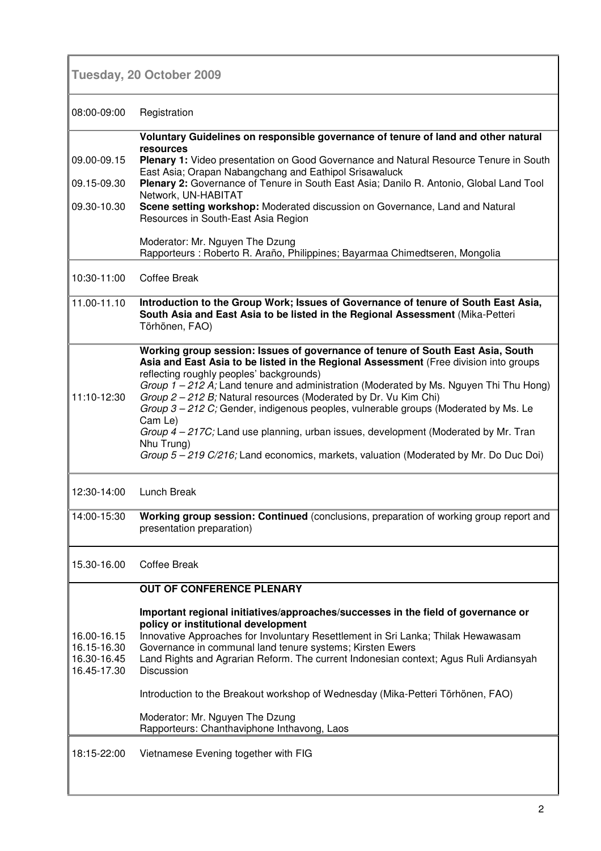## **Tuesday, 20 October 2009**

| 08:00-09:00                                              | Registration                                                                                                                                                                                                                                                                                                                                                                                                                                                                                                                                                                                                                                                                       |
|----------------------------------------------------------|------------------------------------------------------------------------------------------------------------------------------------------------------------------------------------------------------------------------------------------------------------------------------------------------------------------------------------------------------------------------------------------------------------------------------------------------------------------------------------------------------------------------------------------------------------------------------------------------------------------------------------------------------------------------------------|
|                                                          | Voluntary Guidelines on responsible governance of tenure of land and other natural                                                                                                                                                                                                                                                                                                                                                                                                                                                                                                                                                                                                 |
| 09.00-09.15                                              | resources<br>Plenary 1: Video presentation on Good Governance and Natural Resource Tenure in South<br>East Asia; Orapan Nabangchang and Eathipol Srisawaluck                                                                                                                                                                                                                                                                                                                                                                                                                                                                                                                       |
| 09.15-09.30                                              | Plenary 2: Governance of Tenure in South East Asia; Danilo R. Antonio, Global Land Tool<br>Network, UN-HABITAT                                                                                                                                                                                                                                                                                                                                                                                                                                                                                                                                                                     |
| 09.30-10.30                                              | Scene setting workshop: Moderated discussion on Governance, Land and Natural<br>Resources in South-East Asia Region                                                                                                                                                                                                                                                                                                                                                                                                                                                                                                                                                                |
|                                                          | Moderator: Mr. Nguyen The Dzung<br>Rapporteurs : Roberto R. Araño, Philippines; Bayarmaa Chimedtseren, Mongolia                                                                                                                                                                                                                                                                                                                                                                                                                                                                                                                                                                    |
| 10:30-11:00                                              | Coffee Break                                                                                                                                                                                                                                                                                                                                                                                                                                                                                                                                                                                                                                                                       |
| 11.00-11.10                                              | Introduction to the Group Work; Issues of Governance of tenure of South East Asia,<br>South Asia and East Asia to be listed in the Regional Assessment (Mika-Petteri<br>Törhönen, FAO)                                                                                                                                                                                                                                                                                                                                                                                                                                                                                             |
| 11:10-12:30                                              | Working group session: Issues of governance of tenure of South East Asia, South<br>Asia and East Asia to be listed in the Regional Assessment (Free division into groups<br>reflecting roughly peoples' backgrounds)<br>Group $1 - 212$ A; Land tenure and administration (Moderated by Ms. Nguyen Thi Thu Hong)<br>Group 2 - 212 B; Natural resources (Moderated by Dr. Vu Kim Chi)<br>Group 3-212 C; Gender, indigenous peoples, vulnerable groups (Moderated by Ms. Le<br>Cam Le)<br>Group 4 – 217C; Land use planning, urban issues, development (Moderated by Mr. Tran<br>Nhu Trung)<br>Group 5 - 219 C/216; Land economics, markets, valuation (Moderated by Mr. Do Duc Doi) |
| 12:30-14:00                                              | Lunch Break                                                                                                                                                                                                                                                                                                                                                                                                                                                                                                                                                                                                                                                                        |
| 14:00-15:30                                              | Working group session: Continued (conclusions, preparation of working group report and<br>presentation preparation)                                                                                                                                                                                                                                                                                                                                                                                                                                                                                                                                                                |
| 15.30-16.00                                              | <b>Coffee Break</b>                                                                                                                                                                                                                                                                                                                                                                                                                                                                                                                                                                                                                                                                |
|                                                          | <b>OUT OF CONFERENCE PLENARY</b>                                                                                                                                                                                                                                                                                                                                                                                                                                                                                                                                                                                                                                                   |
| 16.00-16.15<br>16.15-16.30<br>16.30-16.45<br>16.45-17.30 | Important regional initiatives/approaches/successes in the field of governance or<br>policy or institutional development<br>Innovative Approaches for Involuntary Resettlement in Sri Lanka; Thilak Hewawasam<br>Governance in communal land tenure systems; Kirsten Ewers<br>Land Rights and Agrarian Reform. The current Indonesian context; Agus Ruli Ardiansyah<br><b>Discussion</b>                                                                                                                                                                                                                                                                                           |
|                                                          | Introduction to the Breakout workshop of Wednesday (Mika-Petteri Törhönen, FAO)                                                                                                                                                                                                                                                                                                                                                                                                                                                                                                                                                                                                    |
|                                                          | Moderator: Mr. Nguyen The Dzung<br>Rapporteurs: Chanthaviphone Inthavong, Laos                                                                                                                                                                                                                                                                                                                                                                                                                                                                                                                                                                                                     |
| 18:15-22:00                                              | Vietnamese Evening together with FIG                                                                                                                                                                                                                                                                                                                                                                                                                                                                                                                                                                                                                                               |